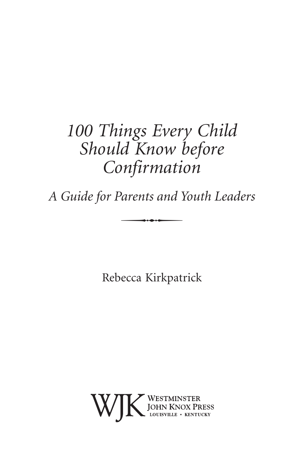# *100 Things Every Child Should Know before Confirmation*

*A Guide for Parents and Youth Leaders* Parents and  $\overline{\phantom{a}}$ 

Rebecca Kirkpatrick

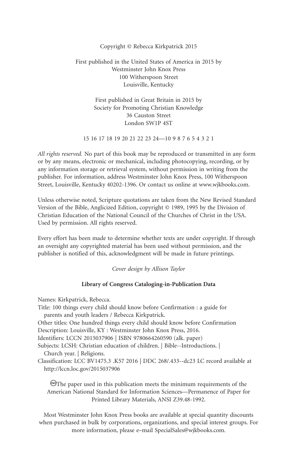#### Copyright © Rebecca Kirkpatrick 2015

#### First published in the United States of America in 2015 by Westminster John Knox Press 100 Witherspoon Street Louisville, Kentucky

First published in Great Britain in 2015 by Society for Promoting Christian Knowledge 36 Causton Street London SW1P 4ST

15 16 17 18 19 20 21 22 23 24—10 9 8 7 6 5 4 3 2 1

*All rights reserved.* No part of this book may be reproduced or transmitted in any form or by any means, electronic or mechanical, including photocopying, recording, or by any information storage or retrieval system, without permission in writing from the publisher. For information, address Westminster John Knox Press, 100 Witherspoon Street, Louisville, Kentucky 40202-1396. Or contact us online at www.wjkbooks.com.

Unless otherwise noted, Scripture quotations are taken from the New Revised Standard Version of the Bible, Anglicized Edition, copyright © 1989, 1995 by the Division of Christian Education of the National Council of the Churches of Christ in the USA. Used by permission. All rights reserved.

Every effort has been made to determine whether texts are under copyright. If through an oversight any copyrighted material has been used without permission, and the publisher is notified of this, acknowledgment will be made in future printings.

*Cover design by Allison Taylor*

#### **Library of Congress Cataloging-in-Publication Data**

Names: Kirkpatrick, Rebecca.

Title: 100 things every child should know before Confirmation : a guide for parents and youth leaders / Rebecca Kirkpatrick. Other titles: One hundred things every child should know before Confirmation Description: Louisville, KY : Westminster John Knox Press, 2016. Identifiers: LCCN 2015037906 | ISBN 9780664260590 (alk. paper) Subjects: LCSH: Christian education of children. | Bible--Introductions. | Church year. | Religions. Classification: LCC BV1475.3 .K57 2016 | DDC 268/.433--dc23 LC record available at http://lccn.loc.gov/2015037906

 $\circledcirc$ The paper used in this publication meets the minimum requirements of the American National Standard for Information Sciences—Permanence of Paper for Printed Library Materials, ANSI Z39.48-1992.

Most Westminster John Knox Press books are available at special quantity discounts when purchased in bulk by corporations, organizations, and special interest groups. For more information, please e–mail SpecialSales@wjkbooks.com.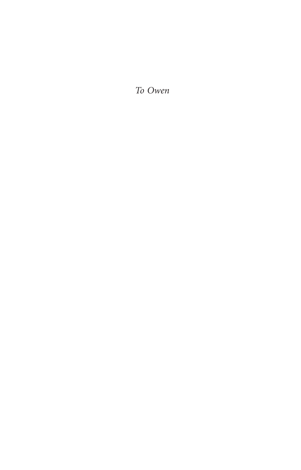*To Owen*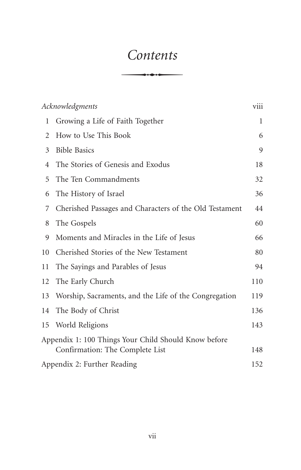# *Contents*  $Contents$

|                                                      | Acknowledgments                                        |     |
|------------------------------------------------------|--------------------------------------------------------|-----|
| 1                                                    | Growing a Life of Faith Together                       | 1   |
| 2                                                    | How to Use This Book                                   | 6   |
| 3                                                    | <b>Bible Basics</b>                                    | 9   |
| 4                                                    | The Stories of Genesis and Exodus                      | 18  |
| 5                                                    | The Ten Commandments                                   | 32  |
| 6                                                    | The History of Israel                                  | 36  |
| 7                                                    | Cherished Passages and Characters of the Old Testament | 44  |
| 8                                                    | The Gospels                                            | 60  |
| 9                                                    | Moments and Miracles in the Life of Jesus              | 66  |
| 10                                                   | Cherished Stories of the New Testament                 | 80  |
| 11                                                   | The Sayings and Parables of Jesus                      | 94  |
| 12                                                   | The Early Church                                       | 110 |
| 13                                                   | Worship, Sacraments, and the Life of the Congregation  | 119 |
| 14                                                   | The Body of Christ                                     | 136 |
| 15                                                   | World Religions                                        | 143 |
| Appendix 1: 100 Things Your Child Should Know before |                                                        |     |
|                                                      | Confirmation: The Complete List                        | 148 |
| Appendix 2: Further Reading                          |                                                        | 152 |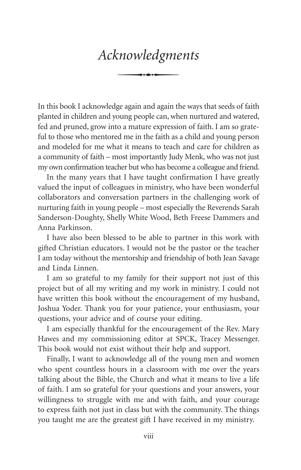# *Acknowledgments* S

In this book I acknowledge again and again the ways that seeds of faith planted in children and young people can, when nurtured and watered, fed and pruned, grow into a mature expression of faith. I am so grateful to those who mentored me in the faith as a child and young person and modeled for me what it means to teach and care for children as a community of faith – most importantly Judy Menk, who was not just my own confirmation teacher but who has become a colleague and friend.

In the many years that I have taught confirmation I have greatly valued the input of colleagues in ministry, who have been wonderful collaborators and conversation partners in the challenging work of nurturing faith in young people – most especially the Reverends Sarah Sanderson-Doughty, Shelly White Wood, Beth Freese Dammers and Anna Parkinson.

I have also been blessed to be able to partner in this work with gifted Christian educators. I would not be the pastor or the teacher I am today without the mentorship and friendship of both Jean Savage and Linda Linnen.

I am so grateful to my family for their support not just of this project but of all my writing and my work in ministry. I could not have written this book without the encouragement of my husband, Joshua Yoder. Thank you for your patience, your enthusiasm, your questions, your advice and of course your editing.

I am especially thankful for the encouragement of the Rev. Mary Hawes and my commissioning editor at SPCK, Tracey Messenger. This book would not exist without their help and support.

Finally, I want to acknowledge all of the young men and women who spent countless hours in a classroom with me over the years talking about the Bible, the Church and what it means to live a life of faith. I am so grateful for your questions and your answers, your willingness to struggle with me and with faith, and your courage to express faith not just in class but with the community. The things you taught me are the greatest gift I have received in my ministry.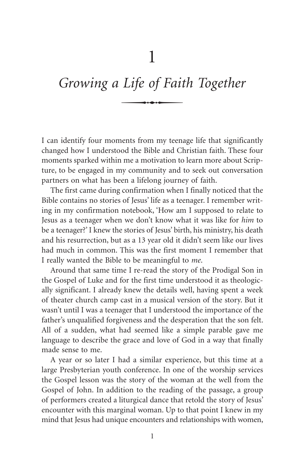# *Growing a Life of Faith Together* Life of Fair

I can identify four moments from my teenage life that significantly changed how I understood the Bible and Christian faith. These four moments sparked within me a motivation to learn more about Scripture, to be engaged in my community and to seek out conversation partners on what has been a lifelong journey of faith.

The first came during confirmation when I finally noticed that the Bible contains no stories of Jesus' life as a teenager. I remember writing in my confirmation notebook, 'How am I supposed to relate to Jesus as a teenager when we don't know what it was like for *him* to be a teenager?' I knew the stories of Jesus' birth, his ministry, his death and his resurrection, but as a 13 year old it didn't seem like our lives had much in common. This was the first moment I remember that I really wanted the Bible to be meaningful to *me*.

Around that same time I re-read the story of the Prodigal Son in the Gospel of Luke and for the first time understood it as theologically significant. I already knew the details well, having spent a week of theater church camp cast in a musical version of the story. But it wasn't until I was a teenager that I understood the importance of the father's unqualified forgiveness and the desperation that the son felt. All of a sudden, what had seemed like a simple parable gave me language to describe the grace and love of God in a way that finally made sense to me.

A year or so later I had a similar experience, but this time at a large Presbyterian youth conference. In one of the worship services the Gospel lesson was the story of the woman at the well from the Gospel of John. In addition to the reading of the passage, a group of performers created a liturgical dance that retold the story of Jesus' encounter with this marginal woman. Up to that point I knew in my mind that Jesus had unique encounters and relationships with women,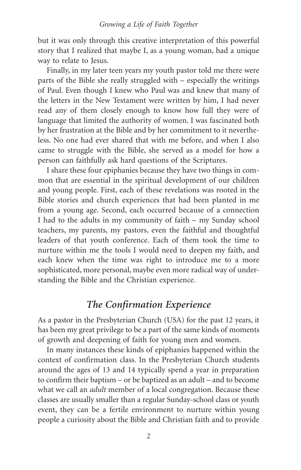#### *Growing a Life of Faith Together*

but it was only through this creative interpretation of this powerful story that I realized that maybe I, as a young woman, had a unique way to relate to Jesus.

Finally, in my later teen years my youth pastor told me there were parts of the Bible she really struggled with – especially the writings of Paul. Even though I knew who Paul was and knew that many of the letters in the New Testament were written by him, I had never read any of them closely enough to know how full they were of language that limited the authority of women. I was fascinated both by her frustration at the Bible and by her commitment to it nevertheless. No one had ever shared that with me before, and when I also came to struggle with the Bible, she served as a model for how a person can faithfully ask hard questions of the Scriptures.

I share these four epiphanies because they have two things in common that are essential in the spiritual development of our children and young people. First, each of these revelations was rooted in the Bible stories and church experiences that had been planted in me from a young age. Second, each occurred because of a connection I had to the adults in my community of faith – my Sunday school teachers, my parents, my pastors, even the faithful and thoughtful leaders of that youth conference. Each of them took the time to nurture within me the tools I would need to deepen my faith, and each knew when the time was right to introduce me to a more sophisticated, more personal, maybe even more radical way of understanding the Bible and the Christian experience.

### *The Confirmation Experience*

As a pastor in the Presbyterian Church (USA) for the past 12 years, it has been my great privilege to be a part of the same kinds of moments of growth and deepening of faith for young men and women.

In many instances these kinds of epiphanies happened within the context of confirmation class. In the Presbyterian Church students around the ages of 13 and 14 typically spend a year in preparation to confirm their baptism – or be baptized as an adult – and to become what we call an *adult* member of a local congregation. Because these classes are usually smaller than a regular Sunday-school class or youth event, they can be a fertile environment to nurture within young people a curiosity about the Bible and Christian faith and to provide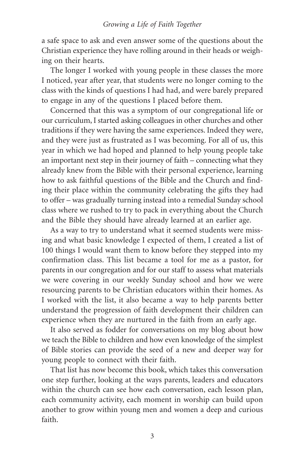a safe space to ask and even answer some of the questions about the Christian experience they have rolling around in their heads or weighing on their hearts.

The longer I worked with young people in these classes the more I noticed, year after year, that students were no longer coming to the class with the kinds of questions I had had, and were barely prepared to engage in any of the questions I placed before them.

Concerned that this was a symptom of our congregational life or our curriculum, I started asking colleagues in other churches and other traditions if they were having the same experiences. Indeed they were, and they were just as frustrated as I was becoming. For all of us, this year in which we had hoped and planned to help young people take an important next step in their journey of faith – connecting what they already knew from the Bible with their personal experience, learning how to ask faithful questions of the Bible and the Church and finding their place within the community celebrating the gifts they had to offer – was gradually turning instead into a remedial Sunday school class where we rushed to try to pack in everything about the Church and the Bible they should have already learned at an earlier age.

As a way to try to understand what it seemed students were missing and what basic knowledge I expected of them, I created a list of 100 things I would want them to know before they stepped into my confirmation class. This list became a tool for me as a pastor, for parents in our congregation and for our staff to assess what materials we were covering in our weekly Sunday school and how we were resourcing parents to be Christian educators within their homes. As I worked with the list, it also became a way to help parents better understand the progression of faith development their children can experience when they are nurtured in the faith from an early age.

It also served as fodder for conversations on my blog about how we teach the Bible to children and how even knowledge of the simplest of Bible stories can provide the seed of a new and deeper way for young people to connect with their faith.

That list has now become this book, which takes this conversation one step further, looking at the ways parents, leaders and educators within the church can see how each conversation, each lesson plan, each community activity, each moment in worship can build upon another to grow within young men and women a deep and curious faith.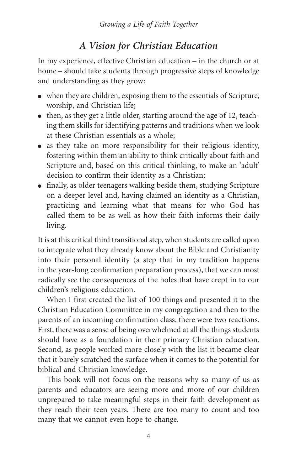## *A Vision for Christian Education*

In my experience, effective Christian education – in the church or at home – should take students through progressive steps of knowledge and understanding as they grow:

- when they are children, exposing them to the essentials of Scripture, worship, and Christian life;
- $\bullet$  then, as they get a little older, starting around the age of 12, teaching them skills for identifying patterns and traditions when we look at these Christian essentials as a whole;
- $\bullet$  as they take on more responsibility for their religious identity, fostering within them an ability to think critically about faith and Scripture and, based on this critical thinking, to make an 'adult' decision to confirm their identity as a Christian;
- $\bullet$  finally, as older teenagers walking beside them, studying Scripture on a deeper level and, having claimed an identity as a Christian, practicing and learning what that means for who God has called them to be as well as how their faith informs their daily living.

It is at this critical third transitional step, when students are called upon to integrate what they already know about the Bible and Christianity into their personal identity (a step that in my tradition happens in the year-long confirmation preparation process), that we can most radically see the consequences of the holes that have crept in to our children's religious education.

When I first created the list of 100 things and presented it to the Christian Education Committee in my congregation and then to the parents of an incoming confirmation class, there were two reactions. First, there was a sense of being overwhelmed at all the things students should have as a foundation in their primary Christian education. Second, as people worked more closely with the list it became clear that it barely scratched the surface when it comes to the potential for biblical and Christian knowledge.

This book will not focus on the reasons why so many of us as parents and educators are seeing more and more of our children unprepared to take meaningful steps in their faith development as they reach their teen years. There are too many to count and too many that we cannot even hope to change.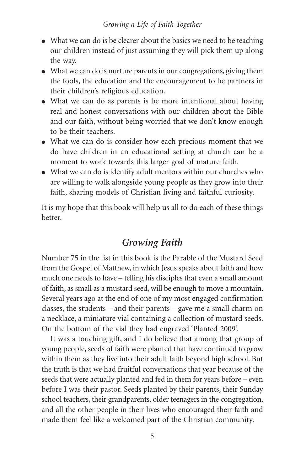- What we can do is be clearer about the basics we need to be teaching our children instead of just assuming they will pick them up along the way.
- What we can do is nurture parents in our congregations, giving them the tools, the education and the encouragement to be partners in their children's religious education.
- What we can do as parents is be more intentional about having real and honest conversations with our children about the Bible and our faith, without being worried that we don't know enough to be their teachers.
- What we can do is consider how each precious moment that we do have children in an educational setting at church can be a moment to work towards this larger goal of mature faith.
- What we can do is identify adult mentors within our churches who are willing to walk alongside young people as they grow into their faith, sharing models of Christian living and faithful curiosity.

It is my hope that this book will help us all to do each of these things better.

### *Growing Faith*

Number 75 in the list in this book is the Parable of the Mustard Seed from the Gospel of Matthew, in which Jesus speaks about faith and how much one needs to have – telling his disciples that even a small amount of faith, as small as a mustard seed, will be enough to move a mountain. Several years ago at the end of one of my most engaged confirmation classes, the students – and their parents – gave me a small charm on a necklace, a miniature vial containing a collection of mustard seeds. On the bottom of the vial they had engraved 'Planted 2009'.

It was a touching gift, and I do believe that among that group of young people, seeds of faith were planted that have continued to grow within them as they live into their adult faith beyond high school. But the truth is that we had fruitful conversations that year because of the seeds that were actually planted and fed in them for years before – even before I was their pastor. Seeds planted by their parents, their Sunday school teachers, their grandparents, older teenagers in the congregation, and all the other people in their lives who encouraged their faith and made them feel like a welcomed part of the Christian community.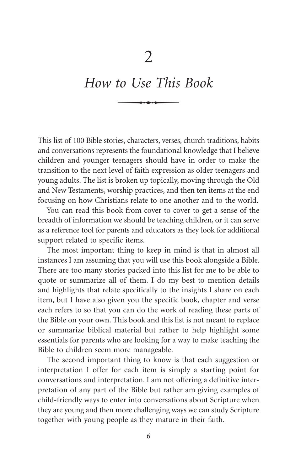# *How to Use This Book*  $\frac{2}{\sqrt{1 + \frac{1}{2}}\cdot\frac{1}{2}}$

This list of 100 Bible stories, characters, verses, church traditions, habits and conversations represents the foundational knowledge that I believe children and younger teenagers should have in order to make the transition to the next level of faith expression as older teenagers and young adults. The list is broken up topically, moving through the Old and New Testaments, worship practices, and then ten items at the end focusing on how Christians relate to one another and to the world.

You can read this book from cover to cover to get a sense of the breadth of information we should be teaching children, or it can serve as a reference tool for parents and educators as they look for additional support related to specific items.

The most important thing to keep in mind is that in almost all instances I am assuming that you will use this book alongside a Bible. There are too many stories packed into this list for me to be able to quote or summarize all of them. I do my best to mention details and highlights that relate specifically to the insights I share on each item, but I have also given you the specific book, chapter and verse each refers to so that you can do the work of reading these parts of the Bible on your own. This book and this list is not meant to replace or summarize biblical material but rather to help highlight some essentials for parents who are looking for a way to make teaching the Bible to children seem more manageable.

The second important thing to know is that each suggestion or interpretation I offer for each item is simply a starting point for conversations and interpretation. I am not offering a definitive interpretation of any part of the Bible but rather am giving examples of child-friendly ways to enter into conversations about Scripture when they are young and then more challenging ways we can study Scripture together with young people as they mature in their faith.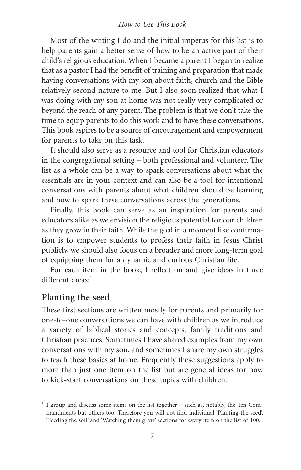#### *How to Use This Book*

Most of the writing I do and the initial impetus for this list is to help parents gain a better sense of how to be an active part of their child's religious education. When I became a parent I began to realize that as a pastor I had the benefit of training and preparation that made having conversations with my son about faith, church and the Bible relatively second nature to me. But I also soon realized that what I was doing with my son at home was not really very complicated or beyond the reach of any parent. The problem is that we don't take the time to equip parents to do this work and to have these conversations. This book aspires to be a source of encouragement and empowerment for parents to take on this task.

It should also serve as a resource and tool for Christian educators in the congregational setting – both professional and volunteer. The list as a whole can be a way to spark conversations about what the essentials are in your context and can also be a tool for intentional conversations with parents about what children should be learning and how to spark these conversations across the generations.

Finally, this book can serve as an inspiration for parents and educators alike as we envision the religious potential for our children as they grow in their faith. While the goal in a moment like confirmation is to empower students to profess their faith in Jesus Christ publicly, we should also focus on a broader and more long-term goal of equipping them for a dynamic and curious Christian life.

For each item in the book, I reflect on and give ideas in three  $differential$  areas<sup>-1</sup>

### **Planting the seed**

These first sections are written mostly for parents and primarily for one-to-one conversations we can have with children as we introduce a variety of biblical stories and concepts, family traditions and Christian practices. Sometimes I have shared examples from my own conversations with my son, and sometimes I share my own struggles to teach these basics at home. Frequently these suggestions apply to more than just one item on the list but are general ideas for how to kick-start conversations on these topics with children.

<sup>&</sup>lt;sup>1</sup> I group and discuss some items on the list together – such as, notably, the Ten Commandments but others too. Therefore you will not find individual 'Planting the seed', 'Feeding the soil' and 'Watching them grow' sections for every item on the list of 100.